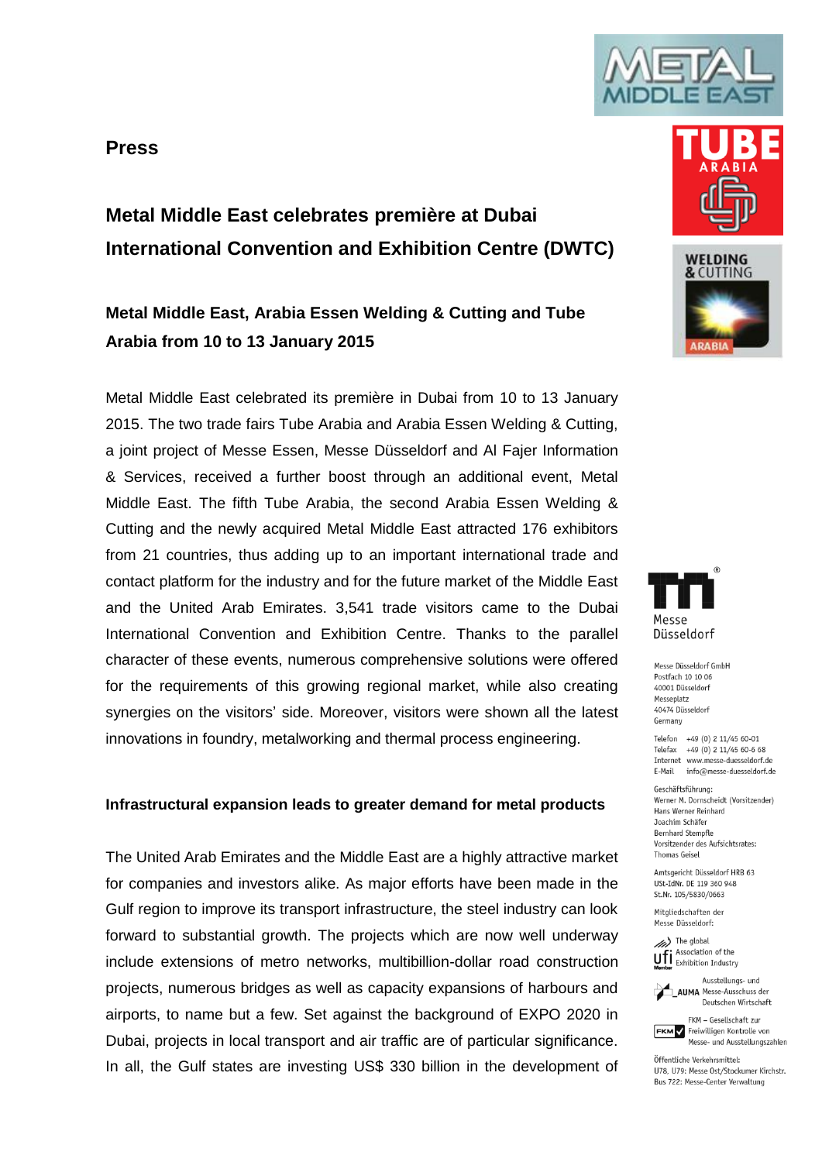## **Press**





# **Metal Middle East, Arabia Essen Welding & Cutting and Tube Arabia from 10 to 13 January 2015**

Metal Middle East celebrated its première in Dubai from 10 to 13 January 2015. The two trade fairs Tube Arabia and Arabia Essen Welding & Cutting, a joint project of Messe Essen, Messe Düsseldorf and Al Fajer Information & Services, received a further boost through an additional event, Metal Middle East. The fifth Tube Arabia, the second Arabia Essen Welding & Cutting and the newly acquired Metal Middle East attracted 176 exhibitors from 21 countries, thus adding up to an important international trade and contact platform for the industry and for the future market of the Middle East and the United Arab Emirates. 3,541 trade visitors came to the Dubai International Convention and Exhibition Centre. Thanks to the parallel character of these events, numerous comprehensive solutions were offered for the requirements of this growing regional market, while also creating synergies on the visitors' side. Moreover, visitors were shown all the latest innovations in foundry, metalworking and thermal process engineering.

## **Infrastructural expansion leads to greater demand for metal products**

The United Arab Emirates and the Middle East are a highly attractive market for companies and investors alike. As major efforts have been made in the Gulf region to improve its transport infrastructure, the steel industry can look forward to substantial growth. The projects which are now well underway include extensions of metro networks, multibillion-dollar road construction projects, numerous bridges as well as capacity expansions of harbours and airports, to name but a few. Set against the background of EXPO 2020 in Dubai, projects in local transport and air traffic are of particular significance. In all, the Gulf states are investing US\$ 330 billion in the development of







Messe Düsseldorf GmbH Postfach 10 10 06 40001 Diisseldorf Messeplatz 40474 Düsseldorf Germany

Telefon +49 (0) 2 11/45 60-01 Telefax +49 (0) 2 11/45 60-6 68 Internet www.messe-duesseldorf.de E-Mail info@messe-duesseldorf.de

Geschäftsführung: Werner M. Dornscheidt (Vorsitzender) Hans Werner Reinhard Joachim Schäfer Bernhard Stempfle Vorsitzender des Aufsichtsrates: **Thomas Geisel** 

Amtsgericht Düsseldorf HRB 63 USt-IdNr. DE 119 360 948 St.Nr. 105/5830/0663

Mitaliedschaften der Messe Düsseldorf:

(b) The global Uff Association of the



Deutschen Wirtschaft FKM - Gesellschaft zur **FKM** / Freiwilligen Kontrolle von

Öffentliche Verkehrsmittel: 1178 1179: Messe Ost/Stockumer Kirchstr.

Bus 722: Messe-Center Verwaltung

Messe- und Ausstellungszahlen